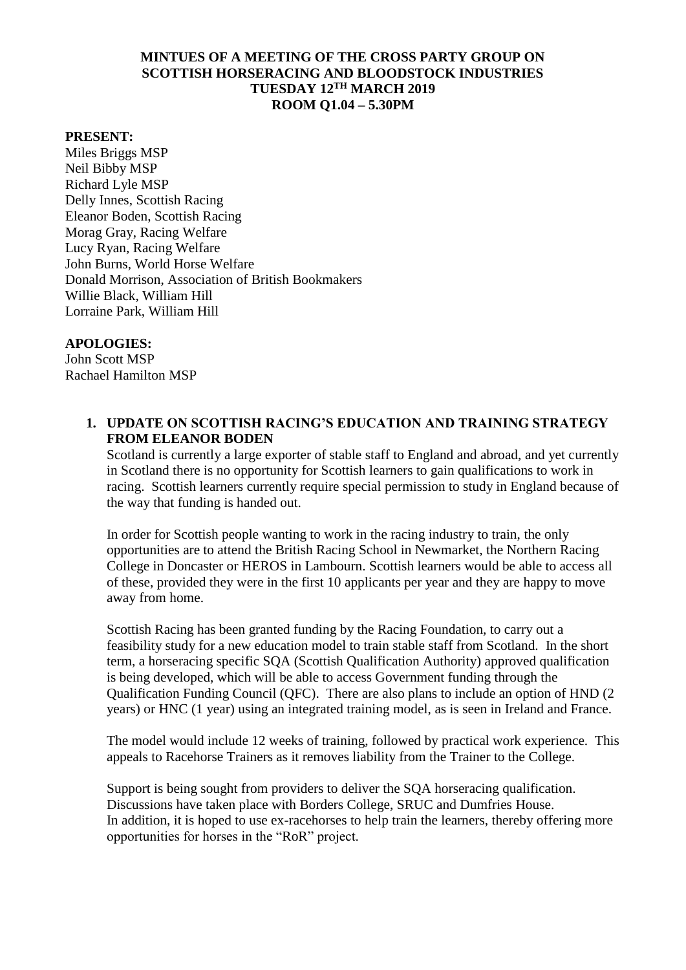# **MINTUES OF A MEETING OF THE CROSS PARTY GROUP ON SCOTTISH HORSERACING AND BLOODSTOCK INDUSTRIES TUESDAY 12TH MARCH 2019 ROOM Q1.04 – 5.30PM**

#### **PRESENT:**

Miles Briggs MSP Neil Bibby MSP Richard Lyle MSP Delly Innes, Scottish Racing Eleanor Boden, Scottish Racing Morag Gray, Racing Welfare Lucy Ryan, Racing Welfare John Burns, World Horse Welfare Donald Morrison, Association of British Bookmakers Willie Black, William Hill Lorraine Park, William Hill

#### **APOLOGIES:**

John Scott MSP Rachael Hamilton MSP

### **1. UPDATE ON SCOTTISH RACING'S EDUCATION AND TRAINING STRATEGY FROM ELEANOR BODEN**

Scotland is currently a large exporter of stable staff to England and abroad, and yet currently in Scotland there is no opportunity for Scottish learners to gain qualifications to work in racing. Scottish learners currently require special permission to study in England because of the way that funding is handed out.

In order for Scottish people wanting to work in the racing industry to train, the only opportunities are to attend the British Racing School in Newmarket, the Northern Racing College in Doncaster or HEROS in Lambourn. Scottish learners would be able to access all of these, provided they were in the first 10 applicants per year and they are happy to move away from home.

Scottish Racing has been granted funding by the Racing Foundation, to carry out a feasibility study for a new education model to train stable staff from Scotland. In the short term, a horseracing specific SQA (Scottish Qualification Authority) approved qualification is being developed, which will be able to access Government funding through the Qualification Funding Council (QFC). There are also plans to include an option of HND (2 years) or HNC (1 year) using an integrated training model, as is seen in Ireland and France.

The model would include 12 weeks of training, followed by practical work experience. This appeals to Racehorse Trainers as it removes liability from the Trainer to the College.

Support is being sought from providers to deliver the SQA horseracing qualification. Discussions have taken place with Borders College, SRUC and Dumfries House. In addition, it is hoped to use ex-racehorses to help train the learners, thereby offering more opportunities for horses in the "RoR" project.